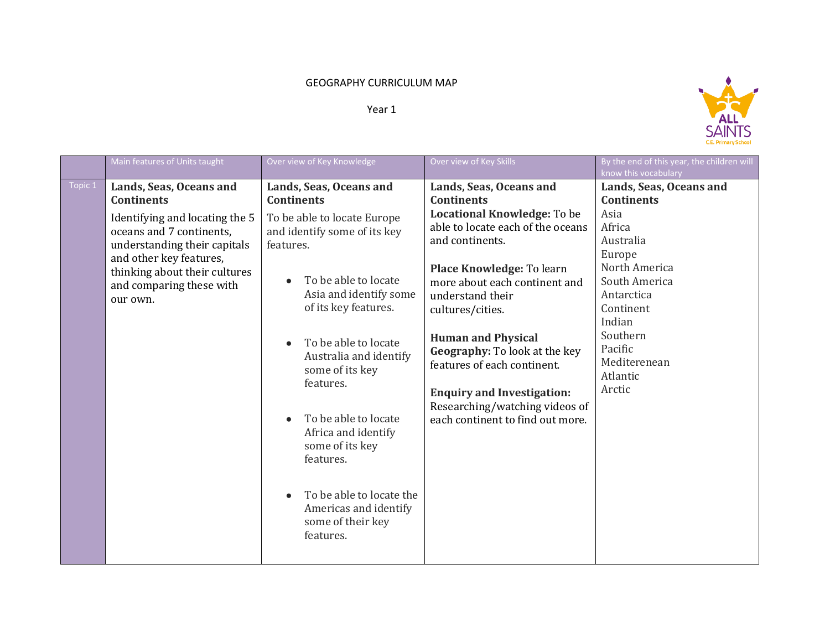## GEOGRAPHY CURRICULUM MAP

## Year 1



|         | Main features of Units taught                                                                                                                                                                                                                  | Over view of Key Knowledge                                                                                                                                                                                                                                                                                                                                                                                                                                                                                     | Over view of Key Skills                                                                                                                                                                                                                                                                                                                                                                                                                           | By the end of this year, the children will<br>know this vocabulary                                                                                                                                                        |
|---------|------------------------------------------------------------------------------------------------------------------------------------------------------------------------------------------------------------------------------------------------|----------------------------------------------------------------------------------------------------------------------------------------------------------------------------------------------------------------------------------------------------------------------------------------------------------------------------------------------------------------------------------------------------------------------------------------------------------------------------------------------------------------|---------------------------------------------------------------------------------------------------------------------------------------------------------------------------------------------------------------------------------------------------------------------------------------------------------------------------------------------------------------------------------------------------------------------------------------------------|---------------------------------------------------------------------------------------------------------------------------------------------------------------------------------------------------------------------------|
| Topic 1 | Lands, Seas, Oceans and<br><b>Continents</b><br>Identifying and locating the 5<br>oceans and 7 continents,<br>understanding their capitals<br>and other key features,<br>thinking about their cultures<br>and comparing these with<br>our own. | Lands, Seas, Oceans and<br><b>Continents</b><br>To be able to locate Europe<br>and identify some of its key<br>features.<br>To be able to locate<br>$\bullet$<br>Asia and identify some<br>of its key features.<br>To be able to locate<br>$\bullet$<br>Australia and identify<br>some of its key<br>features.<br>To be able to locate<br>$\bullet$<br>Africa and identify<br>some of its key<br>features.<br>To be able to locate the<br>$\bullet$<br>Americas and identify<br>some of their key<br>features. | Lands, Seas, Oceans and<br><b>Continents</b><br>Locational Knowledge: To be<br>able to locate each of the oceans<br>and continents.<br>Place Knowledge: To learn<br>more about each continent and<br>understand their<br>cultures/cities.<br><b>Human and Physical</b><br>Geography: To look at the key<br>features of each continent.<br><b>Enquiry and Investigation:</b><br>Researching/watching videos of<br>each continent to find out more. | Lands, Seas, Oceans and<br><b>Continents</b><br>Asia<br>Africa<br>Australia<br>Europe<br>North America<br>South America<br>Antarctica<br>Continent<br>Indian<br>Southern<br>Pacific<br>Mediterenean<br>Atlantic<br>Arctic |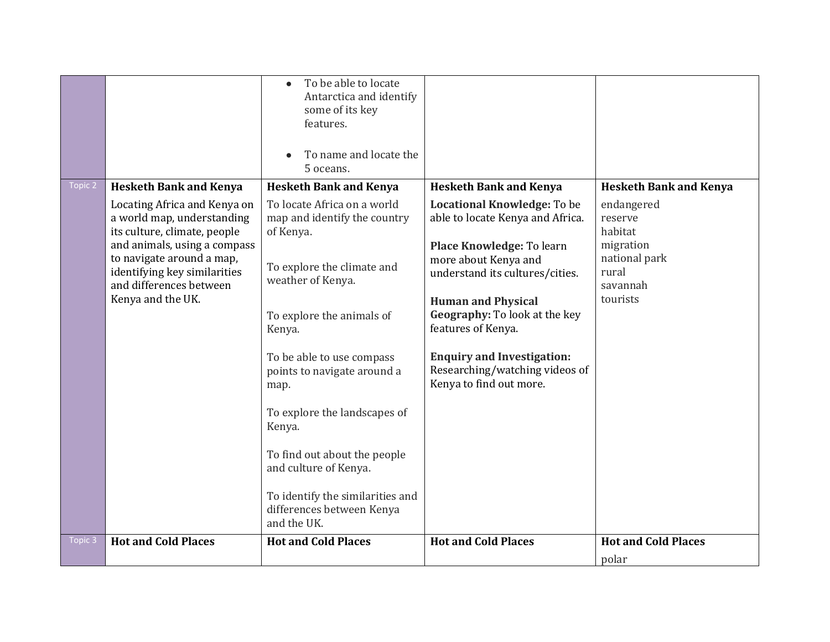|         |                                                                                                                      | To be able to locate<br>$\bullet$<br>Antarctica and identify<br>some of its key |                                                                                                |                                                 |
|---------|----------------------------------------------------------------------------------------------------------------------|---------------------------------------------------------------------------------|------------------------------------------------------------------------------------------------|-------------------------------------------------|
|         |                                                                                                                      | features.                                                                       |                                                                                                |                                                 |
|         |                                                                                                                      | To name and locate the<br>5 oceans.                                             |                                                                                                |                                                 |
| Topic 2 | <b>Hesketh Bank and Kenya</b>                                                                                        | <b>Hesketh Bank and Kenya</b>                                                   | <b>Hesketh Bank and Kenya</b>                                                                  | <b>Hesketh Bank and Kenya</b>                   |
|         | Locating Africa and Kenya on<br>a world map, understanding<br>its culture, climate, people                           | To locate Africa on a world<br>map and identify the country<br>of Kenya.        | Locational Knowledge: To be<br>able to locate Kenya and Africa.                                | endangered<br>reserve<br>habitat                |
|         | and animals, using a compass<br>to navigate around a map,<br>identifying key similarities<br>and differences between | To explore the climate and<br>weather of Kenya.                                 | Place Knowledge: To learn<br>more about Kenya and<br>understand its cultures/cities.           | migration<br>national park<br>rural<br>savannah |
|         | Kenya and the UK.                                                                                                    |                                                                                 | <b>Human and Physical</b>                                                                      | tourists                                        |
|         |                                                                                                                      | To explore the animals of<br>Kenya.                                             | Geography: To look at the key<br>features of Kenya.                                            |                                                 |
|         |                                                                                                                      | To be able to use compass<br>points to navigate around a<br>map.                | <b>Enquiry and Investigation:</b><br>Researching/watching videos of<br>Kenya to find out more. |                                                 |
|         |                                                                                                                      | To explore the landscapes of<br>Kenya.                                          |                                                                                                |                                                 |
|         |                                                                                                                      | To find out about the people<br>and culture of Kenya.                           |                                                                                                |                                                 |
|         |                                                                                                                      | To identify the similarities and<br>differences between Kenya<br>and the UK.    |                                                                                                |                                                 |
| Topic 3 | <b>Hot and Cold Places</b>                                                                                           | <b>Hot and Cold Places</b>                                                      | <b>Hot and Cold Places</b>                                                                     | <b>Hot and Cold Places</b>                      |
|         |                                                                                                                      |                                                                                 |                                                                                                | polar                                           |